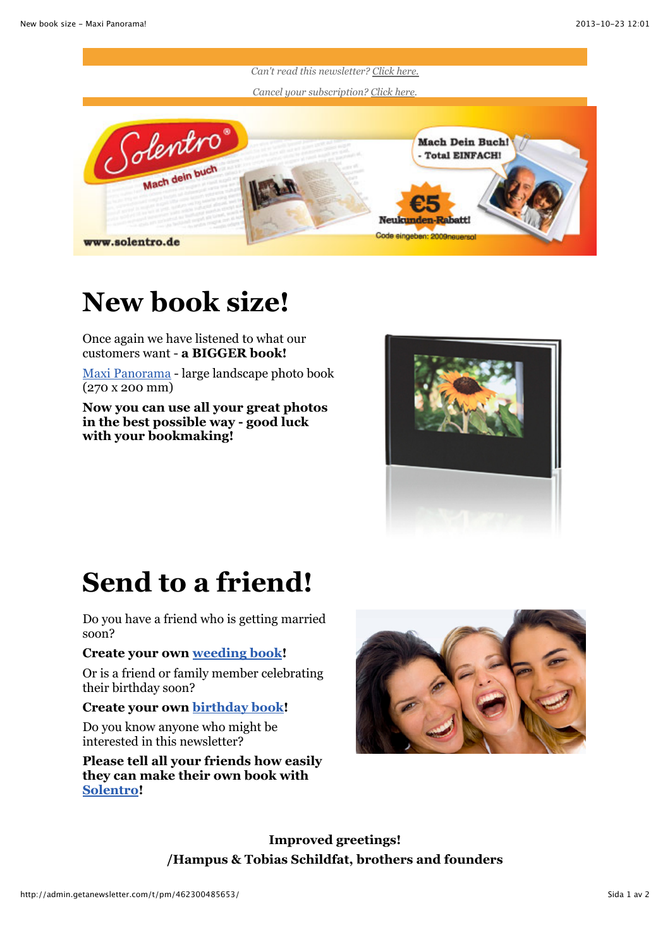

## **New book size!**

Once again we have listened to what our customers want - **a BIGGER book!**

[Maxi Panorama](http://www.solentro.de/buchformate) - large landscape photo book (270 x 200 mm)

**Now you can use all your great photos in the best possible way - good luck with your bookmaking!**



## **Send to a friend!**

Do you have a friend who is getting married soon?

## **Create your own [weeding book!](http://www.solentro.de/hochzeitsbuch)**

Or is a friend or family member celebrating their birthday soon?

## **Create your own [birthday book!](http://www.solentro.de/geburtstagsbuch)**

Do you know anyone who might be interested in this newsletter?

**Please tell all your friends how easily they can make their own book with [Solentro!](http://www.solentro.de/)**



**Improved greetings! /Hampus & Tobias Schildfat, brothers and founders**